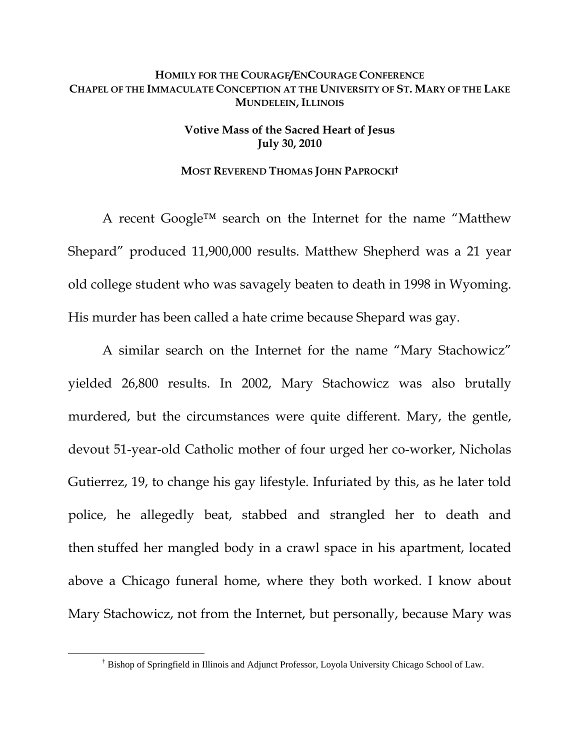## **HOMILY FOR THE COURAGE/ENCOURAGE CONFERENCE CHAPEL OF THE IMMACULATE CONCEPTION AT THE UNIVERSITY OF ST. MARY OF THE LAKE MUNDELEIN, ILLINOIS**

## **Votive Mass of the Sacred Heart of Jesus July 30, 2010**

## **MOST REVEREND THOMAS JOHN PAPROCKI†**

A recent Google™ search on the Internet for the name "Matthew Shepard" produced 11,900,000 results. Matthew Shepherd was a 21 year old college student who was savagely beaten to death in 1998 in Wyoming. His murder has been called a hate crime because Shepard was gay.

A similar search on the Internet for the name "Mary Stachowicz" yielded 26,800 results. In 2002, Mary Stachowicz was also brutally murdered, but the circumstances were quite different. Mary, the gentle, devout 51-year-old Catholic mother of four urged her co-worker, Nicholas Gutierrez, 19, to change his gay lifestyle. Infuriated by this, as he later told police, he allegedly beat, stabbed and strangled her to death and then stuffed her mangled body in a crawl space in his apartment, located above a Chicago funeral home, where they both worked. I know about Mary Stachowicz, not from the Internet, but personally, because Mary was

 $\overline{\phantom{a}}$ <sup>†</sup> Bishop of Springfield in Illinois and Adjunct Professor, Loyola University Chicago School of Law.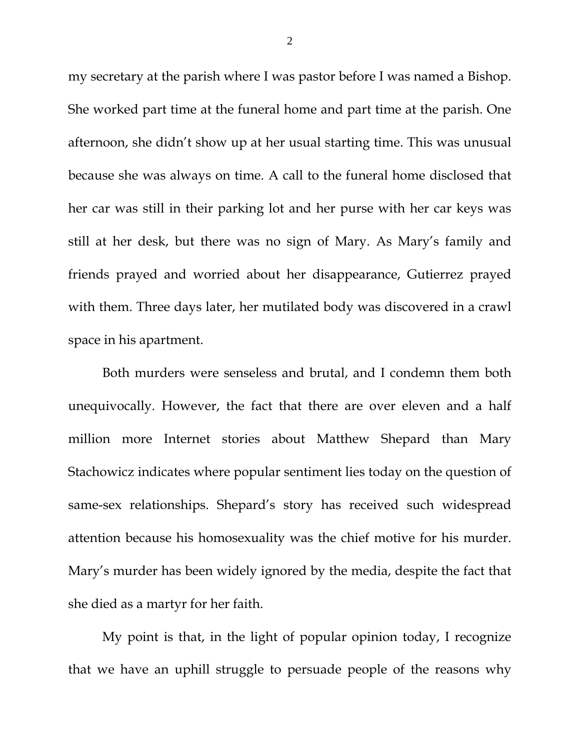my secretary at the parish where I was pastor before I was named a Bishop. She worked part time at the funeral home and part time at the parish. One afternoon, she didn't show up at her usual starting time. This was unusual because she was always on time. A call to the funeral home disclosed that her car was still in their parking lot and her purse with her car keys was still at her desk, but there was no sign of Mary. As Mary's family and friends prayed and worried about her disappearance, Gutierrez prayed with them. Three days later, her mutilated body was discovered in a crawl space in his apartment.

Both murders were senseless and brutal, and I condemn them both unequivocally. However, the fact that there are over eleven and a half million more Internet stories about Matthew Shepard than Mary Stachowicz indicates where popular sentiment lies today on the question of same-sex relationships. Shepard's story has received such widespread attention because his homosexuality was the chief motive for his murder. Mary's murder has been widely ignored by the media, despite the fact that she died as a martyr for her faith.

My point is that, in the light of popular opinion today, I recognize that we have an uphill struggle to persuade people of the reasons why

2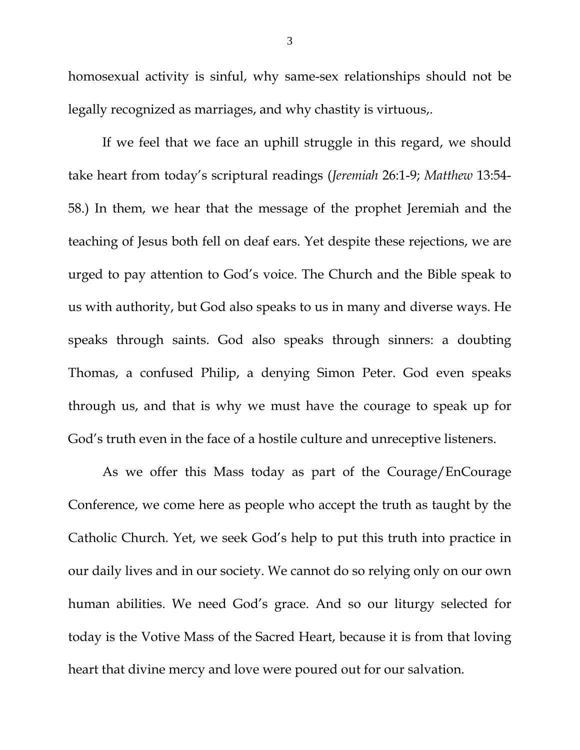homosexual activity is sinful, why same-sex relationships should not be legally recognized as marriages, and why chastity is virtuous,.

If we feel that we face an uphill struggle in this regard, we should take heart from today's scriptural readings (*Jeremiah* 26:1-9; *Matthew* 13:54- 58.) In them, we hear that the message of the prophet Jeremiah and the teaching of Jesus both fell on deaf ears. Yet despite these rejections, we are urged to pay attention to God's voice. The Church and the Bible speak to us with authority, but God also speaks to us in many and diverse ways. He speaks through saints. God also speaks through sinners: a doubting Thomas, a confused Philip, a denying Simon Peter. God even speaks through us, and that is why we must have the courage to speak up for God's truth even in the face of a hostile culture and unreceptive listeners.

As we offer this Mass today as part of the Courage/EnCourage Conference, we come here as people who accept the truth as taught by the Catholic Church. Yet, we seek God's help to put this truth into practice in our daily lives and in our society. We cannot do so relying only on our own human abilities. We need God's grace. And so our liturgy selected for today is the Votive Mass of the Sacred Heart, because it is from that loving heart that divine mercy and love were poured out for our salvation.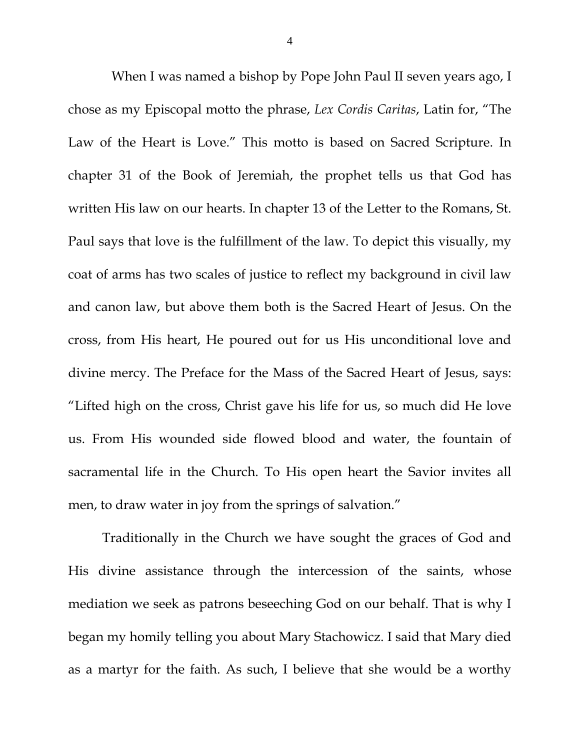When I was named a bishop by Pope John Paul II seven years ago, I chose as my Episcopal motto the phrase, *Lex Cordis Caritas*, Latin for, "The Law of the Heart is Love." This motto is based on Sacred Scripture. In chapter 31 of the Book of Jeremiah, the prophet tells us that God has written His law on our hearts. In chapter 13 of the Letter to the Romans, St. Paul says that love is the fulfillment of the law. To depict this visually, my coat of arms has two scales of justice to reflect my background in civil law and canon law, but above them both is the Sacred Heart of Jesus. On the cross, from His heart, He poured out for us His unconditional love and divine mercy. The Preface for the Mass of the Sacred Heart of Jesus, says: "Lifted high on the cross, Christ gave his life for us, so much did He love us. From His wounded side flowed blood and water, the fountain of sacramental life in the Church. To His open heart the Savior invites all men, to draw water in joy from the springs of salvation."

Traditionally in the Church we have sought the graces of God and His divine assistance through the intercession of the saints, whose mediation we seek as patrons beseeching God on our behalf. That is why I began my homily telling you about Mary Stachowicz. I said that Mary died as a martyr for the faith. As such, I believe that she would be a worthy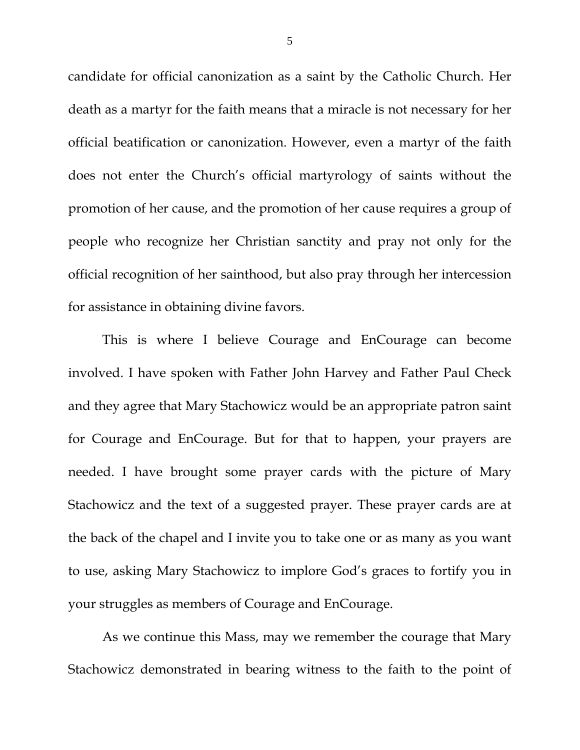candidate for official canonization as a saint by the Catholic Church. Her death as a martyr for the faith means that a miracle is not necessary for her official beatification or canonization. However, even a martyr of the faith does not enter the Church's official martyrology of saints without the promotion of her cause, and the promotion of her cause requires a group of people who recognize her Christian sanctity and pray not only for the official recognition of her sainthood, but also pray through her intercession for assistance in obtaining divine favors.

This is where I believe Courage and EnCourage can become involved. I have spoken with Father John Harvey and Father Paul Check and they agree that Mary Stachowicz would be an appropriate patron saint for Courage and EnCourage. But for that to happen, your prayers are needed. I have brought some prayer cards with the picture of Mary Stachowicz and the text of a suggested prayer. These prayer cards are at the back of the chapel and I invite you to take one or as many as you want to use, asking Mary Stachowicz to implore God's graces to fortify you in your struggles as members of Courage and EnCourage.

As we continue this Mass, may we remember the courage that Mary Stachowicz demonstrated in bearing witness to the faith to the point of

5